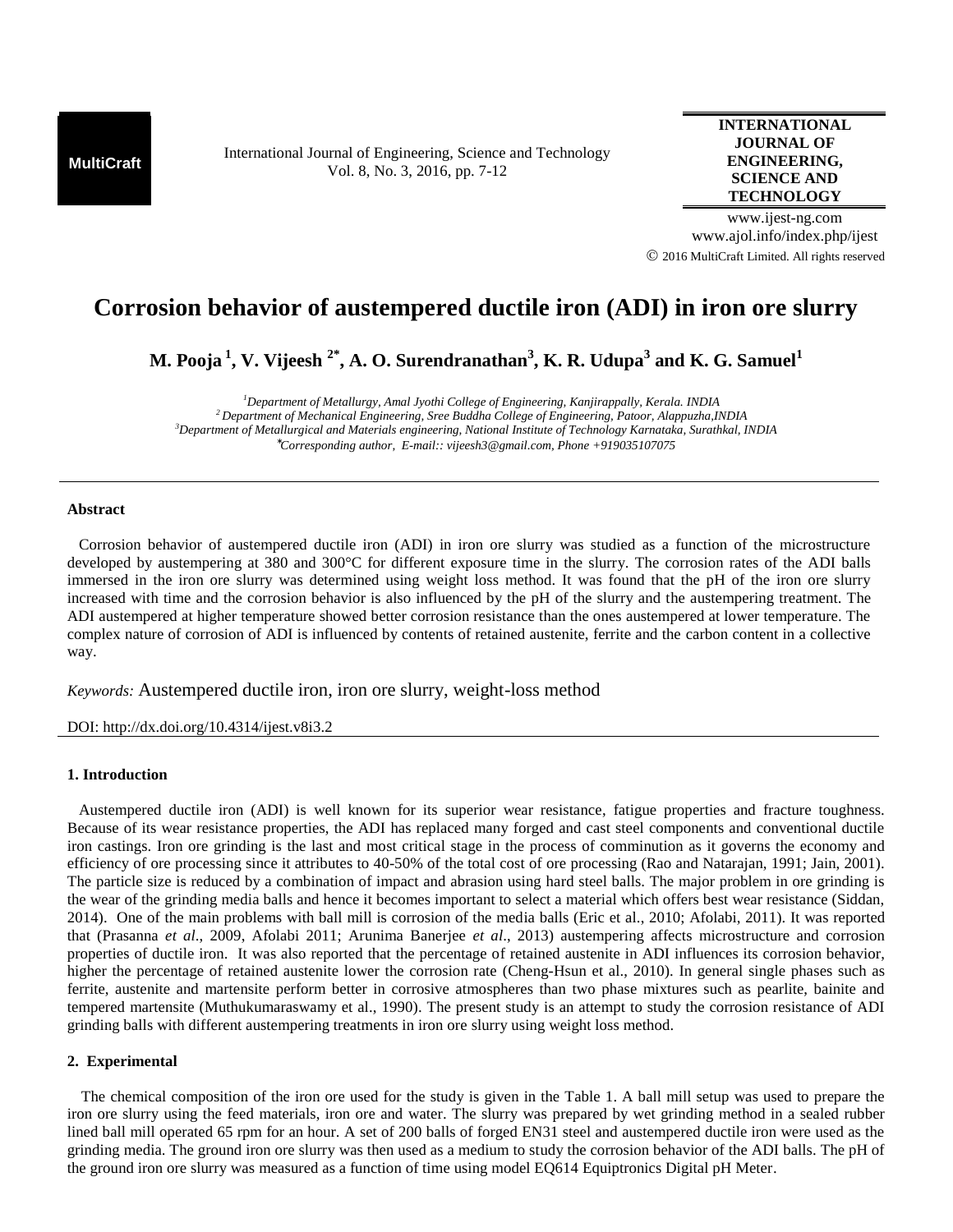**MultiCraft** International Journal of Engineering, Science and Technology Vol. 8, No. 3, 2016, pp. 7-12

**INTERNATIONAL JOURNAL OF ENGINEERING, SCIENCE AND TECHNOLOGY**

www.ijest-ng.com www.ajol.info/index.php/ijest 2016 MultiCraft Limited. All rights reserved

# **Corrosion behavior of austempered ductile iron (ADI) in iron ore slurry**

**M. Pooja<sup>1</sup>, V. Vijeesh 2\*, A. O. Surendranathan<sup>3</sup> , K. R. Udupa<sup>3</sup> and K. G. Samuel<sup>1</sup>**

*Department of Metallurgy, Amal Jyothi College of Engineering, Kanjirappally, Kerala. INDIA Department of Mechanical Engineering, Sree Buddha College of Engineering, Patoor, Alappuzha,INDIA Department of Metallurgical and Materials engineering, National Institute of Technology Karnataka, Surathkal, INDIA Corresponding author, E-mail:: vijeesh3@gmail.com, Phone +919035107075*

## **Abstract**

Corrosion behavior of austempered ductile iron (ADI) in iron ore slurry was studied as a function of the microstructure developed by austempering at 380 and 300°C for different exposure time in the slurry. The corrosion rates of the ADI balls immersed in the iron ore slurry was determined using weight loss method. It was found that the pH of the iron ore slurry increased with time and the corrosion behavior is also influenced by the pH of the slurry and the austempering treatment. The ADI austempered at higher temperature showed better corrosion resistance than the ones austempered at lower temperature. The complex nature of corrosion of ADI is influenced by contents of retained austenite, ferrite and the carbon content in a collective way.

*Keywords:* Austempered ductile iron, iron ore slurry, weight-loss method

DOI: http://dx.doi.org/10.4314/ijest.v8i3.2

## **1. Introduction**

Austempered ductile iron (ADI) is well known for its superior wear resistance, fatigue properties and fracture toughness. Because of its wear resistance properties, the ADI has replaced many forged and cast steel components and conventional ductile iron castings. Iron ore grinding is the last and most critical stage in the process of comminution as it governs the economy and efficiency of ore processing since it attributes to 40-50% of the total cost of ore processing (Rao and Natarajan, 1991; Jain, 2001). The particle size is reduced by a combination of impact and abrasion using hard steel balls. The major problem in ore grinding is the wear of the grinding media balls and hence it becomes important to select a material which offers best wear resistance (Siddan, 2014). One of the main problems with ball mill is corrosion of the media balls (Eric et al., 2010; Afolabi, 2011). It was reported that (Prasanna *et al*., 2009, Afolabi 2011; Arunima Banerjee *et al*., 2013) austempering affects microstructure and corrosion properties of ductile iron. It was also reported that the percentage of retained austenite in ADI influences its corrosion behavior, higher the percentage of retained austenite lower the corrosion rate (Cheng-Hsun et al., 2010). In general single phases such as ferrite, austenite and martensite perform better in corrosive atmospheres than two phase mixtures such as pearlite, bainite and tempered martensite (Muthukumaraswamy et al., 1990). The present study is an attempt to study the corrosion resistance of ADI grinding balls with different austempering treatments in iron ore slurry using weight loss method.

## **2. Experimental**

The chemical composition of the iron ore used for the study is given in the Table 1. A ball mill setup was used to prepare the iron ore slurry using the feed materials, iron ore and water. The slurry was prepared by wet grinding method in a sealed rubber lined ball mill operated 65 rpm for an hour. A set of 200 balls of forged EN31 steel and austempered ductile iron were used as the grinding media. The ground iron ore slurry was then used as a medium to study the corrosion behavior of the ADI balls. The pH of the ground iron ore slurry was measured as a function of time using model EQ614 Equiptronics Digital pH Meter.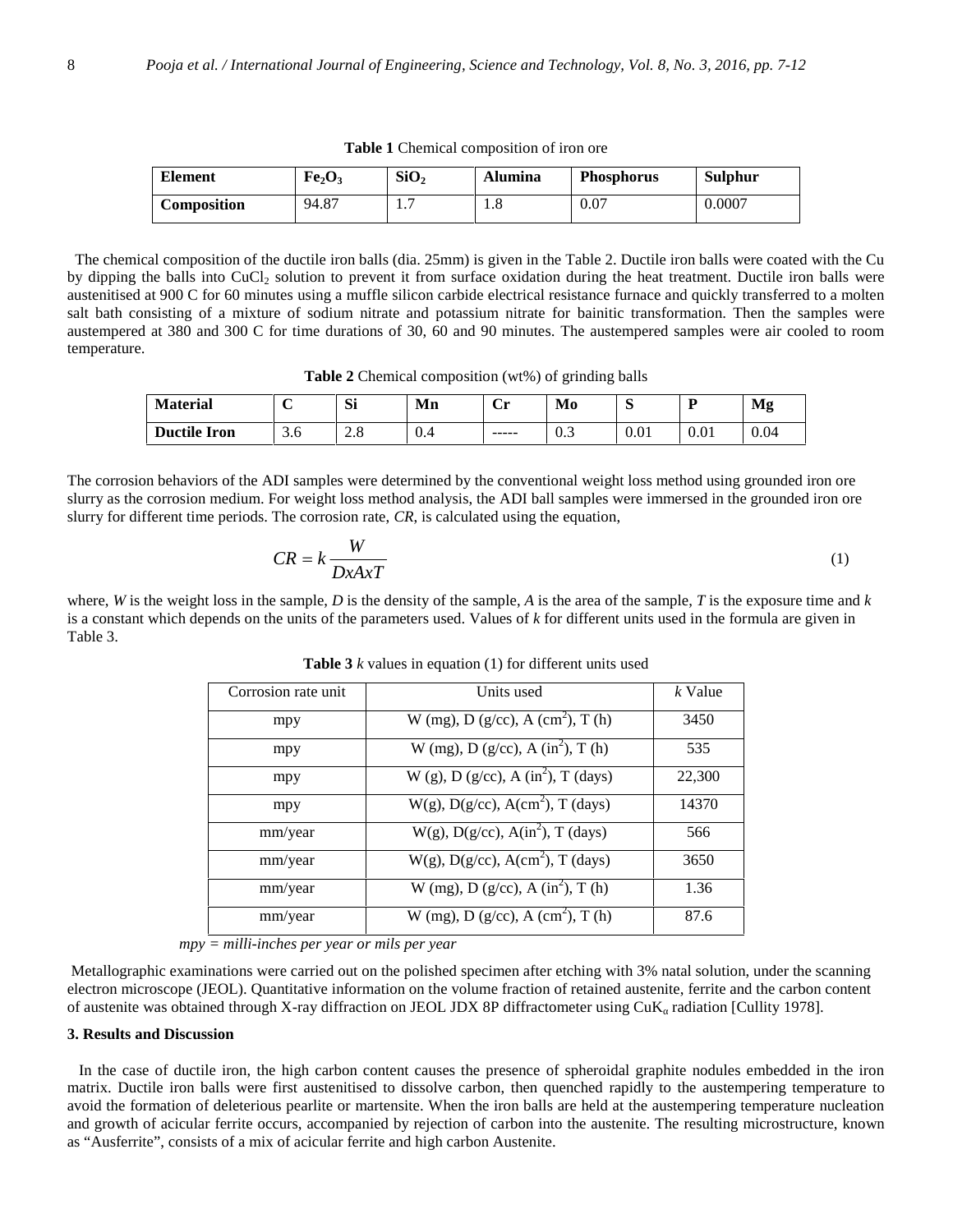| <b>Element</b>     | Fe <sub>2</sub> O <sub>3</sub> | SiO <sub>2</sub> | Alumina | <b>Phosphorus</b> | <b>Sulphur</b> |
|--------------------|--------------------------------|------------------|---------|-------------------|----------------|
| <b>Composition</b> | 94.87                          | .                | 1.0     | 0.07              | 0.0007         |

**Table 1** Chemical composition of iron ore

 The chemical composition of the ductile iron balls (dia. 25mm) is given in the Table 2. Ductile iron balls were coated with the Cu by dipping the balls into CuCl<sub>2</sub> solution to prevent it from surface oxidation during the heat treatment. Ductile iron balls were austenitised at 900 C for 60 minutes using a muffle silicon carbide electrical resistance furnace and quickly transferred to a molten salt bath consisting of a mixture of sodium nitrate and potassium nitrate for bainitic transformation. Then the samples were austempered at 380 and 300 C for time durations of 30, 60 and 90 minutes. The austempered samples were air cooled to room temperature.

**Table 2** Chemical composition (wt%) of grinding balls

| <b>Material</b>     | $\overline{\phantom{a}}$ | Si                 | Mn  | ∼<br>. .<br>$\mathbf{u}$ | Mo                            | $\sim$<br>◡ |      | Mg   |
|---------------------|--------------------------|--------------------|-----|--------------------------|-------------------------------|-------------|------|------|
| <b>Ductile Iron</b> | 3.0                      | ס ו<br>$\angle$ .0 | v.4 | -----                    | $\overline{ }$<br>$v \cdot v$ | 0.01        | 0.01 | 0.04 |

The corrosion behaviors of the ADI samples were determined by the conventional weight loss method using grounded iron ore slurry as the corrosion medium. For weight loss method analysis, the ADI ball samples were immersed in the grounded iron ore slurry for different time periods. The corrosion rate, *CR*, is calculated using the equation,

$$
CR = k \frac{W}{DxAxT} \tag{1}
$$

where, *W* is the weight loss in the sample, *D* is the density of the sample, *A* is the area of the sample, *T* is the exposure time and *k* is a constant which depends on the units of the parameters used. Values of *k* for different units used in the formula are given in Table 3.

| Corrosion rate unit | Units used                                      | k Value |
|---------------------|-------------------------------------------------|---------|
| mpy                 | W (mg), $D(g/cc)$ , $A(cm^2)$ , $T(h)$          | 3450    |
| mpy                 | W (mg), D (g/cc), A (in <sup>2</sup> ), T (h)   | 535     |
| mpy                 | W (g), D (g/cc), A (in <sup>2</sup> ), T (days) | 22,300  |
| mpy                 | $W(g)$ , $D(g/cc)$ , $A(cm2)$ , T (days)        | 14370   |
| mm/year             | $W(g)$ , D(g/cc), A(in <sup>2</sup> ), T (days) | 566     |
| mm/year             | $W(g)$ , D(g/cc), A(cm <sup>2</sup> ), T (days) | 3650    |
| mm/year             | W (mg), D (g/cc), A (in <sup>2</sup> ), T (h)   | 1.36    |
| mm/year             | W (mg), $D(g/cc)$ , $A(cm^2)$ , $T(h)$          | 87.6    |

**Table 3** *k* values in equation (1) for different units used

*mpy = milli-inches per year or mils per year*

 Metallographic examinations were carried out on the polished specimen after etching with 3% natal solution, under the scanning electron microscope (JEOL). Quantitative information on the volume fraction of retained austenite, ferrite and the carbon content of austenite was obtained through X-ray diffraction on JEOL JDX 8P diffractometer using CuK radiation [Cullity 1978].

### **3. Results and Discussion**

 In the case of ductile iron, the high carbon content causes the presence of spheroidal graphite nodules embedded in the iron matrix. Ductile iron balls were first austenitised to dissolve carbon, then quenched rapidly to the austempering temperature to avoid the formation of deleterious pearlite or martensite. When the iron balls are held at the austempering temperature nucleation and growth of acicular ferrite occurs, accompanied by rejection of carbon into the austenite. The resulting microstructure, known as "Ausferrite", consists of a mix of acicular ferrite and high carbon Austenite.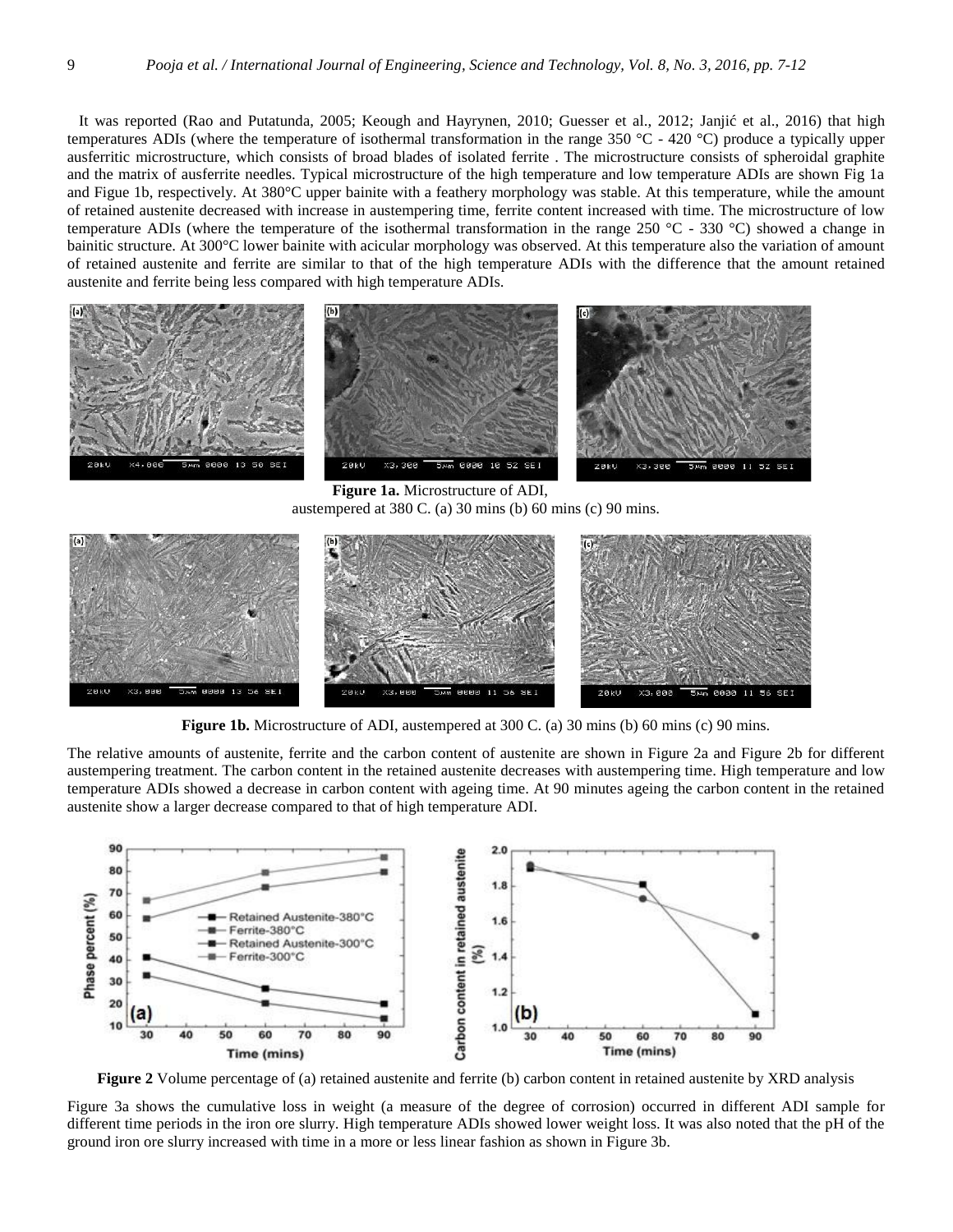It was reported (Rao and Putatunda, 2005; Keough and Hayrynen, 2010; Guesser et al., 2012; Janjić et al., 2016) that high temperatures ADIs (where the temperature of isothermal transformation in the range 350 °C - 420 °C) produce a typically upper ausferritic microstructure, which consists of broad blades of isolated ferrite . The microstructure consists of spheroidal graphite and the matrix of ausferrite needles. Typical microstructure of the high temperature and low temperature ADIs are shown Fig 1a and Figue 1b, respectively. At 380°C upper bainite with a feathery morphology was stable. At this temperature, while the amount of retained austenite decreased with increase in austempering time, ferrite content increased with time. The microstructure of low temperature ADIs (where the temperature of the isothermal transformation in the range  $250\degree\text{C}$  - 330  $\degree\text{C}$ ) showed a change in bainitic structure. At 300°C lower bainite with acicular morphology was observed. At this temperature also the variation of amount of retained austenite and ferrite are similar to that of the high temperature ADIs with the difference that the amount retained austenite and ferrite being less compared with high temperature ADIs.



**Figure 1a.** Microstructure of ADI, austempered at 380 C. (a) 30 mins (b) 60 mins (c) 90 mins.



**Figure 1b.** Microstructure of ADI, austempered at 300 C. (a) 30 mins (b) 60 mins (c) 90 mins.

The relative amounts of austenite, ferrite and the carbon content of austenite are shown in Figure 2a and Figure 2b for different austempering treatment. The carbon content in the retained austenite decreases with austempering time. High temperature and low temperature ADIs showed a decrease in carbon content with ageing time. At 90 minutes ageing the carbon content in the retained austenite show a larger decrease compared to that of high temperature ADI.



**Figure 2** Volume percentage of (a) retained austenite and ferrite (b) carbon content in retained austenite by XRD analysis

Figure 3a shows the cumulative loss in weight (a measure of the degree of corrosion) occurred in different ADI sample for different time periods in the iron ore slurry. High temperature ADIs showed lower weight loss. It was also noted that the pH of the ground iron ore slurry increased with time in a more or less linear fashion as shown in Figure 3b.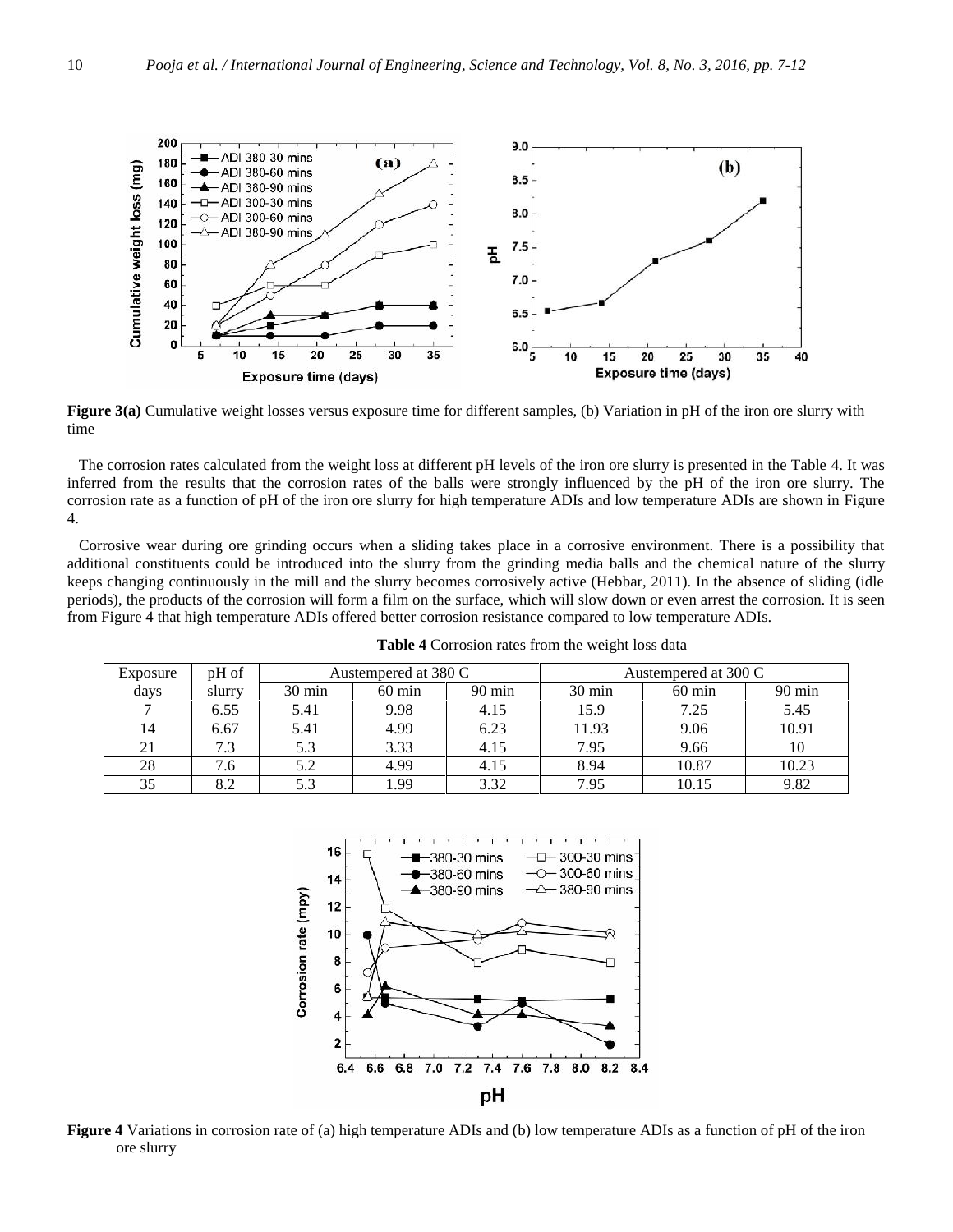![](_page_3_Figure_1.jpeg)

**Figure 3(a)** Cumulative weight losses versus exposure time for different samples, (b) Variation in pH of the iron ore slurry with time

The corrosion rates calculated from the weight loss at different pH levels of the iron ore slurry is presented in the Table 4. It was inferred from the results that the corrosion rates of the balls were strongly influenced by the pH of the iron ore slurry. The corrosion rate as a function of pH of the iron ore slurry for high temperature ADIs and low temperature ADIs are shown in Figure 4.

Corrosive wear during ore grinding occurs when a sliding takes place in a corrosive environment. There is a possibility that additional constituents could be introduced into the slurry from the grinding media balls and the chemical nature of the slurry keeps changing continuously in the mill and the slurry becomes corrosively active (Hebbar, 2011). In the absence of sliding (idle periods), the products of the corrosion will form a film on the surface, which will slow down or even arrest the corrosion. It is seen from Figure 4 that high temperature ADIs offered better corrosion resistance compared to low temperature ADIs.

**Table 4** Corrosion rates from the weight loss data

| Exposure | pH of  | Austempered at 380 C |                  |                  | Austempered at 300 C |                  |                  |
|----------|--------|----------------------|------------------|------------------|----------------------|------------------|------------------|
| days     | slurry | $30 \text{ min}$     | $60 \text{ min}$ | $90 \text{ min}$ | $30 \text{ min}$     | $60 \text{ min}$ | $90 \text{ min}$ |
|          | 6.55   | 5.41                 | 9.98             | 4.15             | 15.9                 | 7.25             | 5.45             |
| 14       | 6.67   | 5.41                 | 4.99             | 6.23             | 11.93                | 9.06             | 10.91            |
| 21       | 7.3    | 5.3                  | 3.33             | 4.15             | 7.95                 | 9.66             | 10               |
| 28       | 7.6    | 5.2                  | 4.99             | 4.15             | 8.94                 | 10.87            | 10.23            |
| 35       | 8.2    | 5.3                  | 1.99             | 3.32             | 7.95                 | 10.15            | 9.82             |

![](_page_3_Figure_7.jpeg)

**Figure 4** Variations in corrosion rate of (a) high temperature ADIs and (b) low temperature ADIs as a function of pH of the iron ore slurry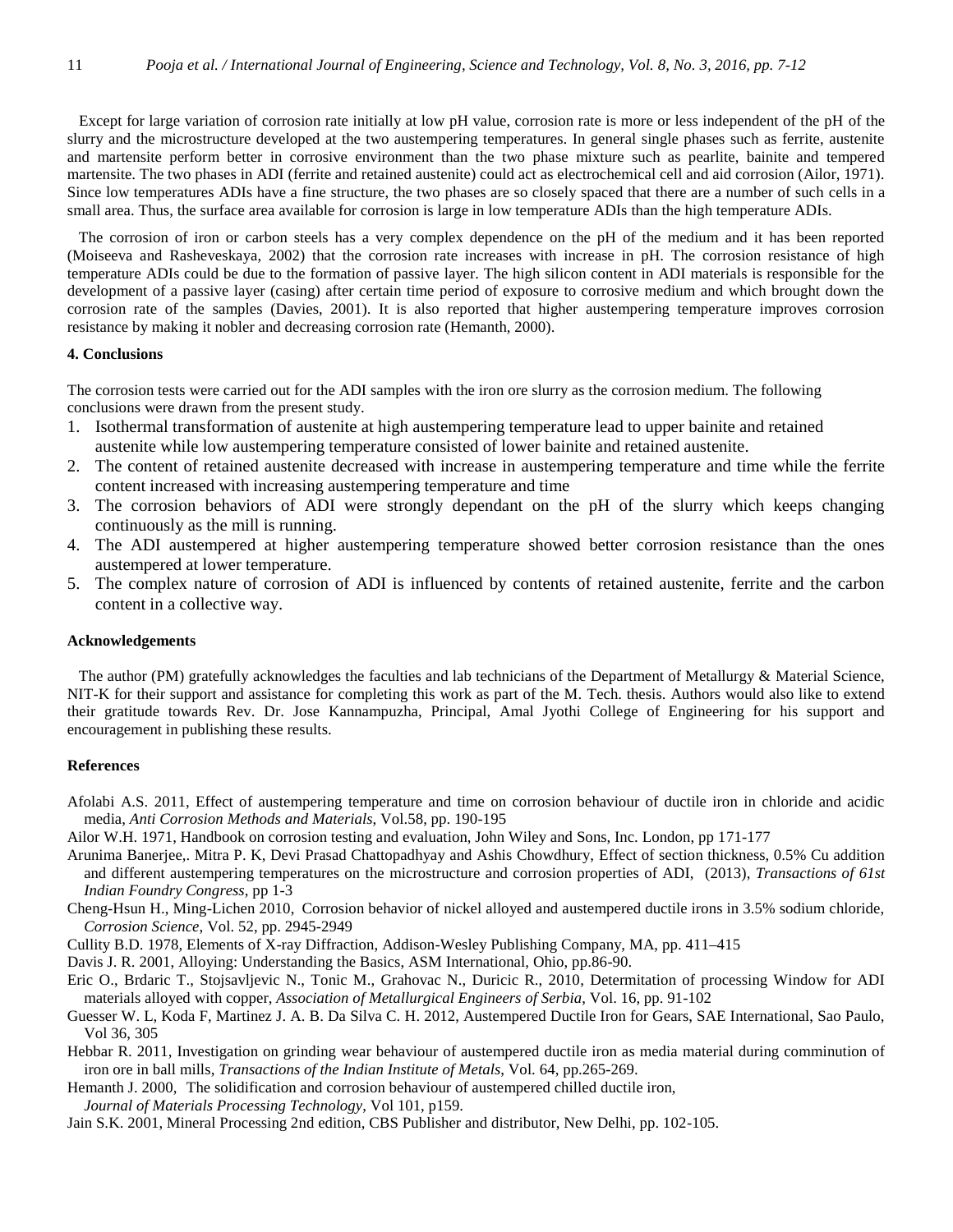Except for large variation of corrosion rate initially at low pH value, corrosion rate is more or less independent of the pH of the slurry and the microstructure developed at the two austempering temperatures. In general single phases such as ferrite, austenite and martensite perform better in corrosive environment than the two phase mixture such as pearlite, bainite and tempered martensite. The two phases in ADI (ferrite and retained austenite) could act as electrochemical cell and aid corrosion (Ailor, 1971). Since low temperatures ADIs have a fine structure, the two phases are so closely spaced that there are a number of such cells in a small area. Thus, the surface area available for corrosion is large in low temperature ADIs than the high temperature ADIs.

The corrosion of iron or carbon steels has a very complex dependence on the pH of the medium and it has been reported (Moiseeva and Rasheveskaya, 2002) that the corrosion rate increases with increase in pH. The corrosion resistance of high temperature ADIs could be due to the formation of passive layer. The high silicon content in ADI materials is responsible for the development of a passive layer (casing) after certain time period of exposure to corrosive medium and which brought down the corrosion rate of the samples (Davies, 2001). It is also reported that higher austempering temperature improves corrosion resistance by making it nobler and decreasing corrosion rate (Hemanth, 2000).

## **4. Conclusions**

The corrosion tests were carried out for the ADI samples with the iron ore slurry as the corrosion medium. The following conclusions were drawn from the present study.

- 1. Isothermal transformation of austenite at high austempering temperature lead to upper bainite and retained austenite while low austempering temperature consisted of lower bainite and retained austenite.
- 2. The content of retained austenite decreased with increase in austempering temperature and time while the ferrite content increased with increasing austempering temperature and time
- 3. The corrosion behaviors of ADI were strongly dependant on the pH of the slurry which keeps changing continuously as the mill is running.
- 4. The ADI austempered at higher austempering temperature showed better corrosion resistance than the ones austempered at lower temperature.
- 5. The complex nature of corrosion of ADI is influenced by contents of retained austenite, ferrite and the carbon content in a collective way.

## **Acknowledgements**

The author (PM) gratefully acknowledges the faculties and lab technicians of the Department of Metallurgy & Material Science, NIT-K for their support and assistance for completing this work as part of the M. Tech. thesis. Authors would also like to extend their gratitude towards Rev. Dr. Jose Kannampuzha, Principal, Amal Jyothi College of Engineering for his support and encouragement in publishing these results.

## **References**

- Afolabi A.S. 2011, Effect of austempering temperature and time on corrosion behaviour of ductile iron in chloride and acidic media, *Anti Corrosion Methods and Materials*, Vol.58, pp. 190-195
- Ailor W.H. 1971, Handbook on corrosion testing and evaluation, John Wiley and Sons, Inc. London, pp 171-177
- Arunima Banerjee,. Mitra P. K, Devi Prasad Chattopadhyay and Ashis Chowdhury, Effect of section thickness, 0.5% Cu addition and different austempering temperatures on the microstructure and corrosion properties of ADI, (2013), *Transactions of 61st Indian Foundry Congress*, pp 1-3
- Cheng-Hsun H., Ming-Lichen 2010, Corrosion behavior of nickel alloyed and austempered ductile irons in 3.5% sodium chloride, *Corrosion Science*, Vol. 52, pp. 2945-2949
- Cullity B.D. 1978, Elements of X-ray Diffraction, Addison-Wesley Publishing Company, MA, pp. 411–415
- Davis J. R. 2001, Alloying: Understanding the Basics, ASM International, Ohio, pp.86-90.
- Eric O., Brdaric T., Stojsavljevic N., Tonic M., Grahovac N., Duricic R., 2010, Determitation of processing Window for ADI materials alloyed with copper, *Association of Metallurgical Engineers of Serbia*, Vol. 16, pp. 91-102
- Guesser W. L, Koda F, Martinez J. A. B. Da Silva C. H. 2012, Austempered Ductile Iron for Gears, SAE International, Sao Paulo, Vol 36, 305
- Hebbar R. 2011, Investigation on grinding wear behaviour of austempered ductile iron as media material during comminution of iron ore in ball mills, *Transactions of the Indian Institute of Metals*, Vol. 64, pp.265-269.
- Hemanth J. 2000, The solidification and corrosion behaviour of austempered chilled ductile iron, *Journal of Materials Processing Technology*, Vol 101, p159.

Jain S.K. 2001, Mineral Processing 2nd edition, CBS Publisher and distributor, New Delhi, pp. 102-105.